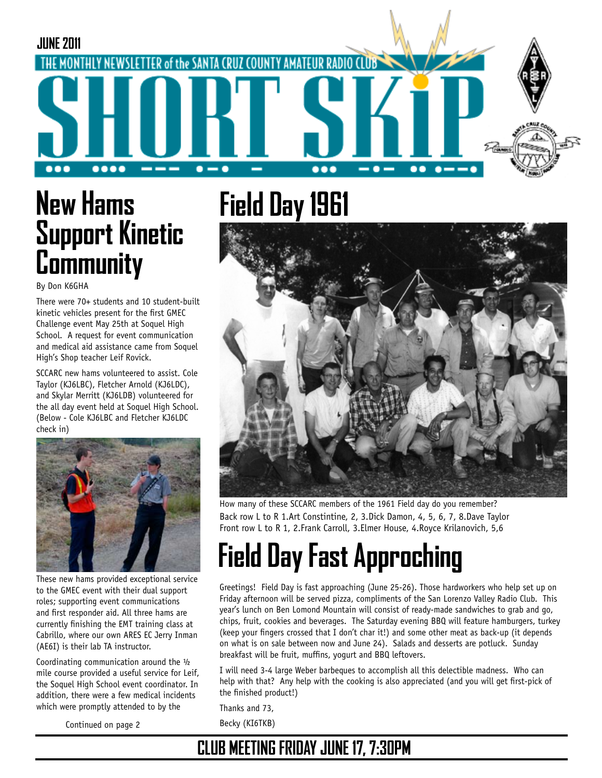

# **New Hams Support Kinetic Community**

By Don K6GHA

There were 70+ students and 10 student-built kinetic vehicles present for the first GMEC Challenge event May 25th at Soquel High School. A request for event communication and medical aid assistance came from Soquel High's Shop teacher Leif Rovick.

SCCARC new hams volunteered to assist. Cole Taylor (KJ6LBC), Fletcher Arnold (KJ6LDC), and Skylar Merritt (KJ6LDB) volunteered for the all day event held at Soquel High School. (Below - Cole KJ6LBC and Fletcher KJ6LDC check in)



These new hams provided exceptional service to the GMEC event with their dual support roles; supporting event communications and first responder aid. All three hams are currently finishing the EMT training class at Cabrillo, where our own ARES EC Jerry Inman (AE6I) is their lab TA instructor.

Coordinating communication around the ½ mile course provided a useful service for Leif, the Soquel High School event coordinator. In addition, there were a few medical incidents which were promptly attended to by the

Continued on page 2

**Field Day 1961**



Back row L to R 1.Art Constintine, 2, 3.Dick Damon, 4, 5, 6, 7, 8.Dave Taylor Front row L to R 1, 2.Frank Carroll, 3.Elmer House, 4.Royce Krilanovich, 5,6 How many of these SCCARC members of the 1961 Field day do you remember?

# **Field Day Fast Approching**

Greetings! Field Day is fast approaching (June 25-26). Those hardworkers who help set up on Friday afternoon will be served pizza, compliments of the San Lorenzo Valley Radio Club. This year's lunch on Ben Lomond Mountain will consist of ready-made sandwiches to grab and go, chips, fruit, cookies and beverages. The Saturday evening BBQ will feature hamburgers, turkey (keep your fingers crossed that I don't char it!) and some other meat as back-up (it depends on what is on sale between now and June 24). Salads and desserts are potluck. Sunday breakfast will be fruit, muffins, yogurt and BBQ leftovers.

I will need 3-4 large Weber barbeques to accomplish all this delectible madness. Who can help with that? Any help with the cooking is also appreciated (and you will get first-pick of the finished product!)

Thanks and 73, Becky (KI6TKB)

## **CLUB MEETING FRIDAY JUNE 17, 7:30PM**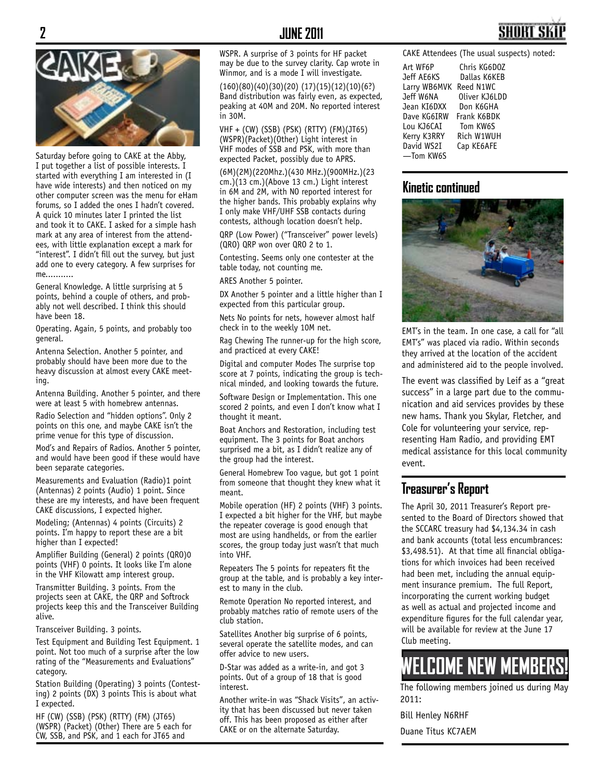

Saturday before going to CAKE at the Abby, I put together a list of possible interests. I started with everything I am interested in (I have wide interests) and then noticed on my other computer screen was the menu for eHam forums, so I added the ones I hadn't covered. A quick 10 minutes later I printed the list and took it to CAKE. I asked for a simple hash mark at any area of interest from the attendees, with little explanation except a mark for "interest". I didn't fill out the survey, but just add one to every category. A few surprises for me...........

General Knowledge. A little surprising at 5 points, behind a couple of others, and probably not well described. I think this should have been 18.

Operating. Again, 5 points, and probably too general.

Antenna Selection. Another 5 pointer, and probably should have been more due to the heavy discussion at almost every CAKE meeting.

Antenna Building. Another 5 pointer, and there were at least 5 with homebrew antennas.

Radio Selection and "hidden options". Only 2 points on this one, and maybe CAKE isn't the prime venue for this type of discussion.

Mod's and Repairs of Radios. Another 5 pointer, and would have been good if these would have been separate categories.

Measurements and Evaluation (Radio)1 point (Antennas) 2 points (Audio) 1 point. Since these are my interests, and have been frequent CAKE discussions, I expected higher.

Modeling; (Antennas) 4 points (Circuits) 2 points. I'm happy to report these are a bit higher than I expected!

Amplifier Building (General) 2 points (QRO)0 points (VHF) 0 points. It looks like I'm alone in the VHF Kilowatt amp interest group.

Transmitter Building. 3 points. From the projects seen at CAKE, the QRP and Softrock projects keep this and the Transceiver Building alive.

Transceiver Building. 3 points.

Test Equipment and Building Test Equipment. 1 point. Not too much of a surprise after the low rating of the "Measurements and Evaluations" category.

Station Building (Operating) 3 points (Contesting) 2 points (DX) 3 points This is about what I expected.

HF (CW) (SSB) (PSK) (RTTY) (FM) (JT65) (WSPR) (Packet) (Other) There are 5 each for CW, SSB, and PSK, and 1 each for JT65 and

WSPR. A surprise of 3 points for HF packet may be due to the survey clarity. Cap wrote in Winmor, and is a mode I will investigate.

(160)(80)(40)(30)(20) (17)(15)(12)(10)(6?) Band distribution was fairly even, as expected, peaking at 40M and 20M. No reported interest in 30M.

VHF + (CW) (SSB) (PSK) (RTTY) (FM)(JT65) (WSPR)(Packet)(Other) Light interest in VHF modes of SSB and PSK, with more than expected Packet, possibly due to APRS.

(6M)(2M)(220Mhz.)(430 MHz.)(900MHz.)(23 cm.)(13 cm.)(Above 13 cm.) Light interest in 6M and 2M, with NO reported interest for the higher bands. This probably explains why I only make VHF/UHF SSB contacts during contests, although location doesn't help.

QRP (Low Power) ("Transceiver" power levels) (QRO) QRP won over QRO 2 to 1.

Contesting. Seems only one contester at the table today, not counting me.

ARES Another 5 pointer.

DX Another 5 pointer and a little higher than I expected from this particular group.

Nets No points for nets, however almost half check in to the weekly 10M net.

Rag Chewing The runner-up for the high score, and practiced at every CAKE!

Digital and computer Modes The surprise top score at 7 points, indicating the group is technical minded, and looking towards the future.

Software Design or Implementation. This one scored 2 points, and even I don't know what I thought it meant.

Boat Anchors and Restoration, including test equipment. The 3 points for Boat anchors surprised me a bit, as I didn't realize any of the group had the interest.

General Homebrew Too vague, but got 1 point from someone that thought they knew what it meant.

Mobile operation (HF) 2 points (VHF) 3 points. I expected a bit higher for the VHF, but maybe the repeater coverage is good enough that most are using handhelds, or from the earlier scores, the group today just wasn't that much into VHF.

Repeaters The 5 points for repeaters fit the group at the table, and is probably a key interest to many in the club.

Remote Operation No reported interest, and probably matches ratio of remote users of the club station.

Satellites Another big surprise of 6 points, several operate the satellite modes, and can offer advice to new users.

D-Star was added as a write-in, and got 3 points. Out of a group of 18 that is good interest.

Another write-in was "Shack Visits", an activity that has been discussed but never taken off. This has been proposed as either after CAKE or on the alternate Saturday.

CAKE Attendees (The usual suspects) noted:

| Art WF6P     | Chris KG6D0Z  |
|--------------|---------------|
| Jeff AE6KS   | Dallas K6KEB  |
| Larry WB6MVK | Reed N1WC     |
| Jeff W6NA    | Oliver KJ6LDD |
| Jean KI6DXX  | Don K6GHA     |
| Dave KG6IRW  | Frank K6BDK   |
| Lou KJ6CAI   | Tom KW6S      |
| Kerry K3RRY  | Rich W1WUH    |
| David WS2I   | Cap KE6AFE    |
| —Tom KW6S    |               |

#### **Kinetic continued**



EMT's in the team. In one case, a call for "all EMT's" was placed via radio. Within seconds they arrived at the location of the accident and administered aid to the people involved.

The event was classified by Leif as a "great success" in a large part due to the communication and aid services provides by these new hams. Thank you Skylar, Fletcher, and Cole for volunteering your service, representing Ham Radio, and providing EMT medical assistance for this local community event.

#### **Treasurer's Report**

The April 30, 2011 Treasurer's Report presented to the Board of Directors showed that the SCCARC treasury had \$4,134.34 in cash and bank accounts (total less encumbrances: \$3,498.51). At that time all financial obligations for which invoices had been received had been met, including the annual equipment insurance premium. The full Report, incorporating the current working budget as well as actual and projected income and expenditure figures for the full calendar year, will be available for review at the June 17 Club meeting.

## **WELCOME NEW MEMBERS!**

The following members joined us during May 2011:

Bill Henley N6RHF

Duane Titus KC7AEM

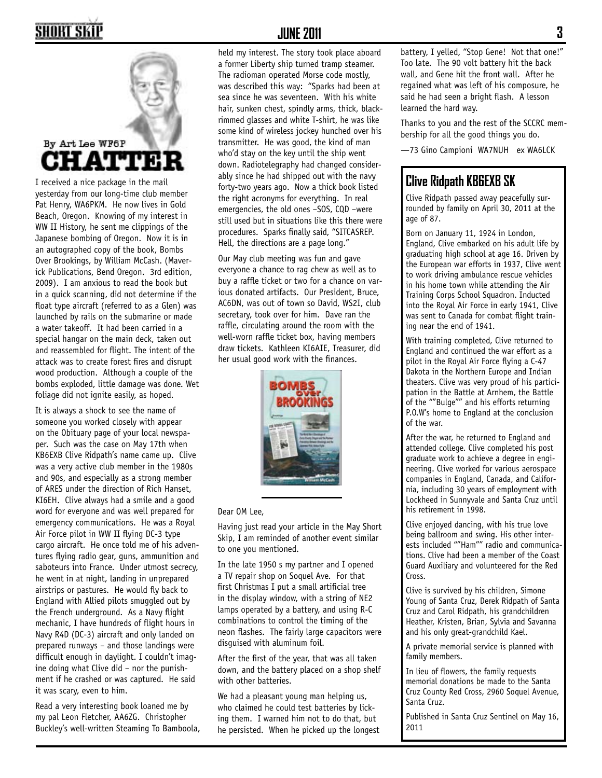## HORT SKI



I received a nice package in the mail yesterday from our long-time club member Pat Henry, WA6PKM. He now lives in Gold Beach, Oregon. Knowing of my interest in WW II History, he sent me clippings of the Japanese bombing of Oregon. Now it is in an autographed copy of the book, Bombs Over Brookings, by William McCash. (Maverick Publications, Bend Oregon. 3rd edition, 2009). I am anxious to read the book but in a quick scanning, did not determine if the float type aircraft (referred to as a Glen) was launched by rails on the submarine or made a water takeoff. It had been carried in a special hangar on the main deck, taken out and reassembled for flight. The intent of the attack was to create forest fires and disrupt wood production. Although a couple of the bombs exploded, little damage was done. Wet foliage did not ignite easily, as hoped.

It is always a shock to see the name of someone you worked closely with appear on the Obituary page of your local newspaper. Such was the case on May 17th when KB6EXB Clive Ridpath's name came up. Clive was a very active club member in the 1980s and 90s, and especially as a strong member of ARES under the direction of Rich Hanset, KI6EH. Clive always had a smile and a good word for everyone and was well prepared for emergency communications. He was a Royal Air Force pilot in WW II flying DC-3 type cargo aircraft. He once told me of his adventures flying radio gear, guns, ammunition and saboteurs into France. Under utmost secrecy, he went in at night, landing in unprepared airstrips or pastures. He would fly back to England with Allied pilots smuggled out by the French underground. As a Navy flight mechanic, I have hundreds of flight hours in Navy R4D (DC-3) aircraft and only landed on prepared runways – and those landings were difficult enough in daylight. I couldn't imagine doing what Clive did – nor the punishment if he crashed or was captured. He said it was scary, even to him.

Read a very interesting book loaned me by my pal Leon Fletcher, AA6ZG. Christopher Buckley's well-written Steaming To Bamboola,

#### **JUNE 2011 3**

held my interest. The story took place aboard a former Liberty ship turned tramp steamer. The radioman operated Morse code mostly, was described this way: "Sparks had been at sea since he was seventeen. With his white hair, sunken chest, spindly arms, thick, blackrimmed glasses and white T-shirt, he was like some kind of wireless jockey hunched over his transmitter. He was good, the kind of man who'd stay on the key until the ship went down. Radiotelegraphy had changed considerably since he had shipped out with the navy forty-two years ago. Now a thick book listed the right acronyms for everything. In real emergencies, the old ones –SOS, CQD –were still used but in situations like this there were procedures. Sparks finally said, "SITCASREP. Hell, the directions are a page long."

Our May club meeting was fun and gave everyone a chance to rag chew as well as to buy a raffle ticket or two for a chance on various donated artifacts. Our President, Bruce, AC6DN, was out of town so David, WS2I, club secretary, took over for him. Dave ran the raffle, circulating around the room with the well-worn raffle ticket box, having members draw tickets. Kathleen KI6AIE, Treasurer, did her usual good work with the finances.



Dear OM Lee,

Having just read your article in the May Short Skip, I am reminded of another event similar to one you mentioned.

In the late 1950 s my partner and I opened a TV repair shop on Soquel Ave. For that first Christmas I put a small artificial tree in the display window, with a string of NE2 lamps operated by a battery, and using R-C combinations to control the timing of the neon flashes. The fairly large capacitors were disguised with aluminum foil.

After the first of the year, that was all taken down, and the battery placed on a shop shelf with other batteries.

We had a pleasant young man helping us, who claimed he could test batteries by licking them. I warned him not to do that, but he persisted. When he picked up the longest battery, I yelled, "Stop Gene! Not that one!" Too late. The 90 volt battery hit the back wall, and Gene hit the front wall. After he regained what was left of his composure, he said he had seen a bright flash. A lesson learned the hard way.

Thanks to you and the rest of the SCCRC membership for all the good things you do.

—73 Gino Campioni WA7NUH ex WA6LCK

#### **Clive Ridpath KB6EXB SK**

Clive Ridpath passed away peacefully surrounded by family on April 30, 2011 at the age of 87.

Born on January 11, 1924 in London, England, Clive embarked on his adult life by graduating high school at age 16. Driven by the European war efforts in 1937, Clive went to work driving ambulance rescue vehicles in his home town while attending the Air Training Corps School Squadron. Inducted into the Royal Air Force in early 1941, Clive was sent to Canada for combat flight training near the end of 1941.

With training completed, Clive returned to England and continued the war effort as a pilot in the Royal Air Force flying a C-47 Dakota in the Northern Europe and Indian theaters. Clive was very proud of his participation in the Battle at Arnhem, the Battle of the ""Bulge"" and his efforts returning P.O.W's home to England at the conclusion of the war.

After the war, he returned to England and attended college. Clive completed his post graduate work to achieve a degree in engineering. Clive worked for various aerospace companies in England, Canada, and California, including 30 years of employment with Lockheed in Sunnyvale and Santa Cruz until his retirement in 1998.

Clive enjoyed dancing, with his true love being ballroom and swing. His other interests included ""Ham"" radio and communications. Clive had been a member of the Coast Guard Auxiliary and volunteered for the Red Cross.

Clive is survived by his children, Simone Young of Santa Cruz, Derek Ridpath of Santa Cruz and Carol Ridpath, his grandchildren Heather, Kristen, Brian, Sylvia and Savanna and his only great-grandchild Kael.

A private memorial service is planned with family members.

In lieu of flowers, the family requests memorial donations be made to the Santa Cruz County Red Cross, 2960 Soquel Avenue, Santa Cruz.

Published in Santa Cruz Sentinel on May 16, 2011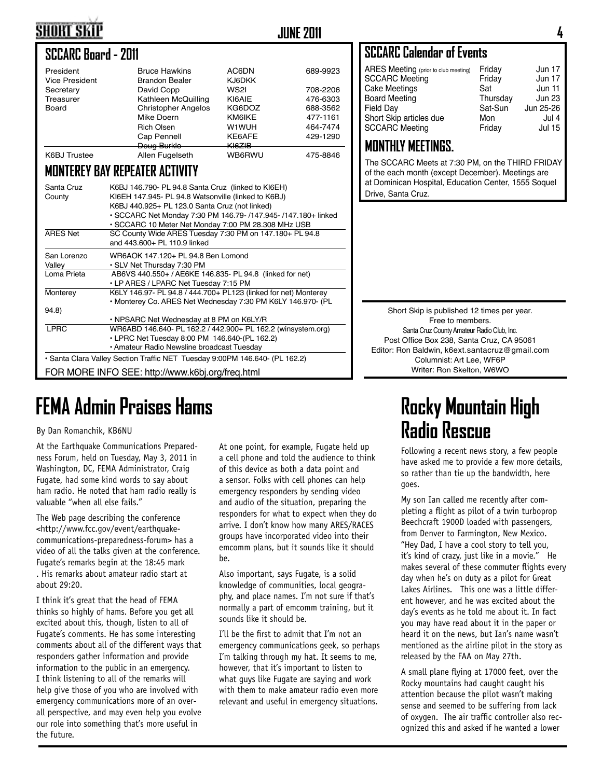## **SHORT SKIP**

### **JUNE 2011 4**

#### **SCCARC Board - 2011**

| President<br><b>Vice President</b> | <b>Bruce Hawkins</b><br><b>Brandon Bealer</b> | AC6DN<br><b>KJ6DKK</b> | 689-9923 |
|------------------------------------|-----------------------------------------------|------------------------|----------|
| Secretary                          | David Copp                                    | WS2I                   | 708-2206 |
| Treasurer                          | Kathleen McQuilling                           | KI6AIE                 | 476-6303 |
| Board                              | <b>Christopher Angelos</b>                    | KG6DOZ                 | 688-3562 |
|                                    | Mike Doern                                    | KM6IKE                 | 477-1161 |
|                                    | <b>Rich Olsen</b>                             | W1WUH                  | 464-7474 |
|                                    | Cap Pennell                                   | KE6AFE                 | 429-1290 |
|                                    | Doug Burklo                                   | <del>KI6ZIB</del>      |          |
| <b>K6BJ Trustee</b>                | Allen Fugelseth                               | <b>WB6RWU</b>          | 475-8846 |

#### **MONTEREY BAY REPEATER ACTIVITY**

| Santa Cruz<br>County                                                        | K6BJ 146.790- PL 94.8 Santa Cruz (linked to KI6EH)<br>KI6EH 147.945- PL 94.8 Watsonville (linked to K6BJ)<br>K6BJ 440.925+ PL 123.0 Santa Cruz (not linked)<br>· SCCARC Net Monday 7:30 PM 146.79- /147.945- /147.180+ linked<br>• SCCARC 10 Meter Net Monday 7:00 PM 28.308 MHz USB |  |  |  |
|-----------------------------------------------------------------------------|--------------------------------------------------------------------------------------------------------------------------------------------------------------------------------------------------------------------------------------------------------------------------------------|--|--|--|
| <b>ARES Net</b>                                                             | SC County Wide ARES Tuesday 7:30 PM on 147.180+ PL 94.8<br>and 443.600+ PL 110.9 linked                                                                                                                                                                                              |  |  |  |
| San Lorenzo<br>Valley                                                       | WR6AOK 147.120+ PL 94.8 Ben Lomond<br>• SLV Net Thursday 7:30 PM                                                                                                                                                                                                                     |  |  |  |
| Loma Prieta                                                                 | AB6VS 440.550+ / AE6KE 146.835- PL 94.8 (linked for net)<br>• LP ARES / LPARC Net Tuesday 7:15 PM                                                                                                                                                                                    |  |  |  |
| Monterey                                                                    | K6LY 146.97- PL 94.8 / 444.700+ PL123 (linked for net) Monterey<br>• Monterey Co. ARES Net Wednesday 7:30 PM K6LY 146.970- (PL                                                                                                                                                       |  |  |  |
| 94.8                                                                        |                                                                                                                                                                                                                                                                                      |  |  |  |
|                                                                             | • NPSARC Net Wednesday at 8 PM on K6LY/R                                                                                                                                                                                                                                             |  |  |  |
| <b>LPRC</b>                                                                 | WR6ABD 146.640- PL 162.2 / 442.900+ PL 162.2 (winsystem.org)                                                                                                                                                                                                                         |  |  |  |
|                                                                             | • LPRC Net Tuesday 8:00 PM 146.640-(PL 162.2)                                                                                                                                                                                                                                        |  |  |  |
|                                                                             | • Amateur Radio Newsline broadcast Tuesday                                                                                                                                                                                                                                           |  |  |  |
| • Santa Clara Valley Section Traffic NET Tuesday 9:00PM 146.640- (PL 162.2) |                                                                                                                                                                                                                                                                                      |  |  |  |
| FOR MORE INFO SEE: http://www.k6bj.org/freq.html                            |                                                                                                                                                                                                                                                                                      |  |  |  |

## **FEMA Admin Praises Hams Rocky Mountain High Rocky Mountain High**

#### By Dan Romanchik, KB6NU

At the Earthquake Communications Preparedness Forum, held on Tuesday, May 3, 2011 in Washington, DC, FEMA Administrator, Craig Fugate, had some kind words to say about ham radio. He noted that ham radio really is valuable "when all else fails."

The Web page describing the conference <http://www.fcc.gov/event/earthquakecommunications-preparedness-forum> has a video of all the talks given at the conference. Fugate's remarks begin at the 18:45 mark . His remarks about amateur radio start at

about 29:20.

I think it's great that the head of FEMA thinks so highly of hams. Before you get all excited about this, though, listen to all of Fugate's comments. He has some interesting comments about all of the different ways that responders gather information and provide information to the public in an emergency. I think listening to all of the remarks will help give those of you who are involved with emergency communications more of an overall perspective, and may even help you evolve our role into something that's more useful in the future.

At one point, for example, Fugate held up a cell phone and told the audience to think of this device as both a data point and a sensor. Folks with cell phones can help emergency responders by sending video and audio of the situation, preparing the responders for what to expect when they do arrive. I don't know how many ARES/RACES groups have incorporated video into their emcomm plans, but it sounds like it should be.

Also important, says Fugate, is a solid knowledge of communities, local geography, and place names. I'm not sure if that's normally a part of emcomm training, but it sounds like it should be.

I'll be the first to admit that I'm not an emergency communications geek, so perhaps I'm talking through my hat. It seems to me, however, that it's important to listen to what guys like Fugate are saying and work with them to make amateur radio even more relevant and useful in emergency situations.

### **SCCARC Calendar of Events**

| ARES Meeting (prior to club meeting) | Friday   | <b>Jun 17</b> |
|--------------------------------------|----------|---------------|
| <b>SCCARC Meeting</b>                | Friday   | <b>Jun 17</b> |
| Cake Meetings                        | Sat      | <b>Jun 11</b> |
| <b>Board Meeting</b>                 | Thursday | <b>Jun 23</b> |
| <b>Field Dav</b>                     | Sat-Sun  | Jun 25-26     |
| Short Skip articles due              | Mon      | Jul 4         |
| <b>SCCARC Meeting</b>                | Friday   | <b>Jul 15</b> |
|                                      |          |               |

#### **MONTHLY MEETINGS.**

The SCCARC Meets at 7:30 PM, on the THIRD FRIDAY of the each month (except December). Meetings are at Dominican Hospital, Education Center, 1555 Soquel Drive, Santa Cruz.

Short Skip is published 12 times per year. Free to members. Santa Cruz County Amateur Radio Club, Inc. Post Office Box 238, Santa Cruz, CA 95061 Editor: Ron Baldwin, k6ext.santacruz@gmail.com Columnist: Art Lee, WF6P Writer: Ron Skelton, W6WO

# **Radio Rescue**

Following a recent news story, a few people have asked me to provide a few more details, so rather than tie up the bandwidth, here goes.

My son Ian called me recently after completing a flight as pilot of a twin turboprop Beechcraft 1900D loaded with passengers, from Denver to Farmington, New Mexico. "Hey Dad, I have a cool story to tell you, it's kind of crazy, just like in a movie." He makes several of these commuter flights every day when he's on duty as a pilot for Great Lakes Airlines. This one was a little different however, and he was excited about the day's events as he told me about it. In fact you may have read about it in the paper or heard it on the news, but Ian's name wasn't mentioned as the airline pilot in the story as released by the FAA on May 27th.

A small plane flying at 17000 feet, over the Rocky mountains had caught caught his attention because the pilot wasn't making sense and seemed to be suffering from lack of oxygen. The air traffic controller also recognized this and asked if he wanted a lower